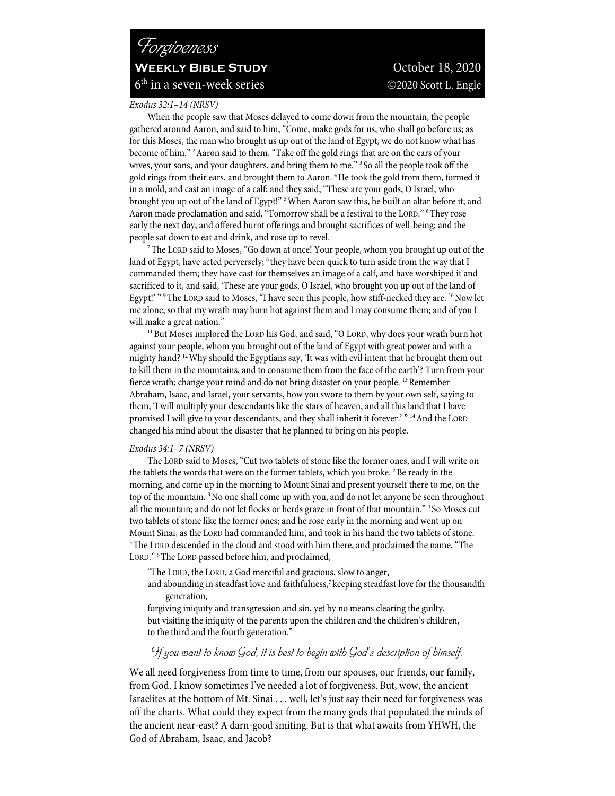# *Forgiveness* **WEEKLY BIBLE STUDY** October 18, 2020  $6<sup>th</sup>$  in a seven-week series  $©2020$  Scott L. Engle

*Exodus 32:1–14 (NRSV)* 

When the people saw that Moses delayed to come down from the mountain, the people gathered around Aaron, and said to him, "Come, make gods for us, who shall go before us; as for this Moses, the man who brought us up out of the land of Egypt, we do not know what has become of him." 2Aaron said to them, "Take off the gold rings that are on the ears of your wives, your sons, and your daughters, and bring them to me." 3 So all the people took off the gold rings from their ears, and brought them to Aaron. 4He took the gold from them, formed it in a mold, and cast an image of a calf; and they said, "These are your gods, O Israel, who brought you up out of the land of Egypt!" <sup>5</sup> When Aaron saw this, he built an altar before it; and Aaron made proclamation and said, "Tomorrow shall be a festival to the LORD." <sup>6</sup>They rose early the next day, and offered burnt offerings and brought sacrifices of well-being; and the people sat down to eat and drink, and rose up to revel. 7The LORD said to Moses, "Go down at once! Your people, whom you brought up out of the

land of Egypt, have acted perversely;  ${}^{8}$  they have been quick to turn aside from the way that I commanded them; they have cast for themselves an image of a calf, and have worshiped it and sacrificed to it, and said, 'These are your gods, O Israel, who brought you up out of the land of Egypt!'" <sup>9</sup>The LORD said to Moses, "I have seen this people, how stiff-necked they are. <sup>10</sup> Now let me alone, so that my wrath may burn hot against them and I may consume them; and of you I will make a great nation."<br><sup>11</sup>But Moses implored the LORD his God, and said, "O LORD, why does your wrath burn hot

against your people, whom you brought out of the land of Egypt with great power and with a mighty hand?  $12$  Why should the Egyptians say, 'It was with evil intent that he brought them out to kill them in the mountains, and to consume them from the face of the earth'? Turn from your fierce wrath; change your mind and do not bring disaster on your people.  $^{13}$  Remember Abraham, Isaac, and Israel, your servants, how you swore to them by your own self, saying to them, 'I will multiply your descendants like the stars of heaven, and all this land that I have promised I will give to your descendants, and they shall inherit it forever.' " 14And the LORD changed his mind about the disaster that he planned to bring on his people.

#### *Exodus 34:1–7 (NRSV)*

The LORD said to Moses, "Cut two tablets of stone like the former ones, and I will write on the tablets the words that were on the former tablets, which you broke.  ${}^{2}$  Be ready in the morning, and come up in the morning to Mount Sinai and present yourself there to me, on the top of the mountain. 3No one shall come up with you, and do not let anyone be seen throughout all the mountain; and do not let flocks or herds graze in front of that mountain." 4 So Moses cut two tablets of stone like the former ones; and he rose early in the morning and went up on Mount Sinai, as the LORD had commanded him, and took in his hand the two tablets of stone.<br><sup>5</sup>The LORD descended in the cloud and stood with him there, and proclaimed the name, "The LORD." <sup>6</sup>The LORD passed before him, and proclaimed,

"The LORD, the LORD, a God merciful and gracious, slow to anger,

and abounding in steadfast love and faithfulness,<sup>7</sup> keeping steadfast love for the thousandth generation,

forgiving iniquity and transgression and sin, yet by no means clearing the guilty, but visiting the iniquity of the parents upon the children and the children's children, to the third and the fourth generation."

*If you want to know God, it is best to begin with God's description of himself.*

We all need forgiveness from time to time, from our spouses, our friends, our family, from God. I know sometimes I've needed a lot of forgiveness. But, wow, the ancient Israelites at the bottom of Mt. Sinai . . . well, let's just say their need for forgiveness was off the charts. What could they expect from the many gods that populated the minds of the ancient near-east? A darn-good smiting. But is that what awaits from YHWH, the God of Abraham, Isaac, and Jacob?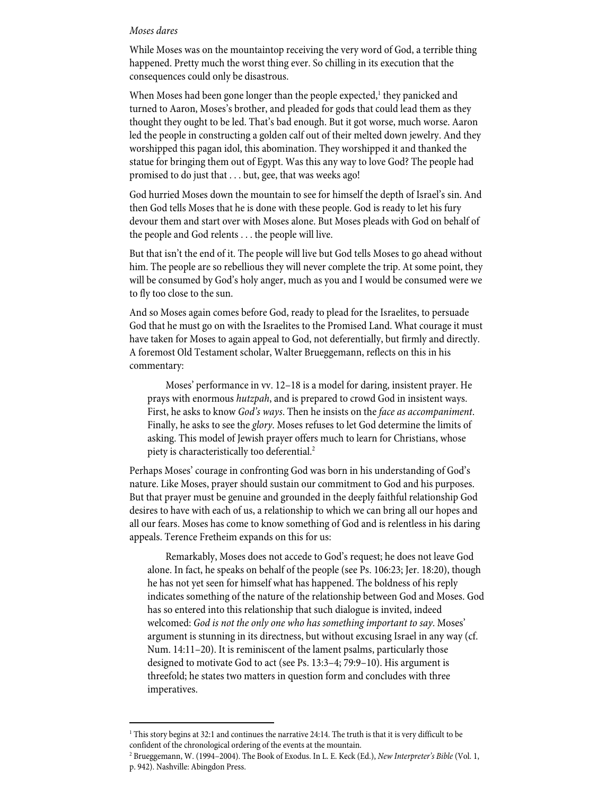### *Moses dares*

While Moses was on the mountaintop receiving the very word of God, a terrible thing happened. Pretty much the worst thing ever. So chilling in its execution that the consequences could only be disastrous.

When Moses had been gone longer than the people expected,<sup>1</sup> they panicked and turned to Aaron, Moses's brother, and pleaded for gods that could lead them as they thought they ought to be led. That's bad enough. But it got worse, much worse. Aaron led the people in constructing a golden calf out of their melted down jewelry. And they worshipped this pagan idol, this abomination. They worshipped it and thanked the statue for bringing them out of Egypt. Was this any way to love God? The people had promised to do just that . . . but, gee, that was weeks ago!

God hurried Moses down the mountain to see for himself the depth of Israel's sin. And then God tells Moses that he is done with these people. God is ready to let his fury devour them and start over with Moses alone. But Moses pleads with God on behalf of the people and God relents . . . the people will live.

But that isn't the end of it. The people will live but God tells Moses to go ahead without him. The people are so rebellious they will never complete the trip. At some point, they will be consumed by God's holy anger, much as you and I would be consumed were we to fly too close to the sun.

And so Moses again comes before God, ready to plead for the Israelites, to persuade God that he must go on with the Israelites to the Promised Land. What courage it must have taken for Moses to again appeal to God, not deferentially, but firmly and directly. A foremost Old Testament scholar, Walter Brueggemann, reflects on this in his commentary:

Moses' performance in vv. 12–18 is a model for daring, insistent prayer. He prays with enormous *hutzpah*, and is prepared to crowd God in insistent ways. First, he asks to know *God's ways*. Then he insists on the *face as accompaniment*. Finally, he asks to see the *glory*. Moses refuses to let God determine the limits of asking. This model of Jewish prayer offers much to learn for Christians, whose piety is characteristically too deferential.<sup>2</sup>

Perhaps Moses' courage in confronting God was born in his understanding of God's nature. Like Moses, prayer should sustain our commitment to God and his purposes. But that prayer must be genuine and grounded in the deeply faithful relationship God desires to have with each of us, a relationship to which we can bring all our hopes and all our fears. Moses has come to know something of God and is relentless in his daring appeals. Terence Fretheim expands on this for us:

Remarkably, Moses does not accede to God's request; he does not leave God alone. In fact, he speaks on behalf of the people (see Ps. 106:23; Jer. 18:20), though he has not yet seen for himself what has happened. The boldness of his reply indicates something of the nature of the relationship between God and Moses. God has so entered into this relationship that such dialogue is invited, indeed welcomed: *God is not the only one who has something important to say*. Moses' argument is stunning in its directness, but without excusing Israel in any way (cf. Num. 14:11–20). It is reminiscent of the lament psalms, particularly those designed to motivate God to act (see Ps. 13:3–4; 79:9–10). His argument is threefold; he states two matters in question form and concludes with three imperatives.

<sup>&</sup>lt;sup>1</sup> This story begins at 32:1 and continues the narrative 24:14. The truth is that it is very difficult to be confident of the chronological ordering of the events at the mountain.

<sup>2</sup> Brueggemann, W. (1994–2004). The Book of Exodus. In L. E. Keck (Ed.), *New Interpreter's Bible* (Vol. 1, p. 942). Nashville: Abingdon Press.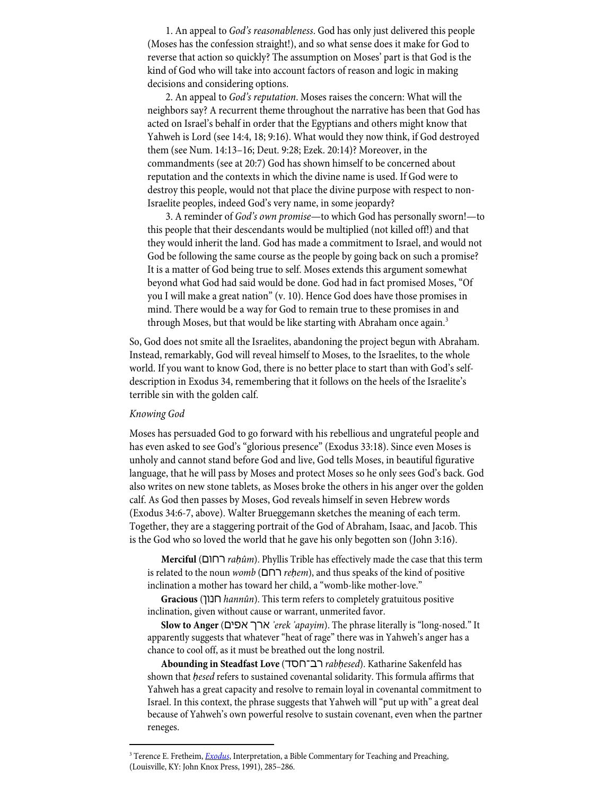1. An appeal to *God's reasonableness*. God has only just delivered this people (Moses has the confession straight!), and so what sense does it make for God to reverse that action so quickly? The assumption on Moses' part is that God is the kind of God who will take into account factors of reason and logic in making decisions and considering options.

2. An appeal to *God's reputation*. Moses raises the concern: What will the neighbors say? A recurrent theme throughout the narrative has been that God has acted on Israel's behalf in order that the Egyptians and others might know that Yahweh is Lord (see 14:4, 18; 9:16). What would they now think, if God destroyed them (see Num. 14:13–16; Deut. 9:28; Ezek. 20:14)? Moreover, in the commandments (see at 20:7) God has shown himself to be concerned about reputation and the contexts in which the divine name is used. If God were to destroy this people, would not that place the divine purpose with respect to non-Israelite peoples, indeed God's very name, in some jeopardy?

3. A reminder of *God's own promise*—to which God has personally sworn!—to this people that their descendants would be multiplied (not killed off!) and that they would inherit the land. God has made a commitment to Israel, and would not God be following the same course as the people by going back on such a promise? It is a matter of God being true to self. Moses extends this argument somewhat beyond what God had said would be done. God had in fact promised Moses, "Of you I will make a great nation" (v. 10). Hence God does have those promises in mind. There would be a way for God to remain true to these promises in and through Moses, but that would be like starting with Abraham once again.<sup>3</sup>

So, God does not smite all the Israelites, abandoning the project begun with Abraham. Instead, remarkably, God will reveal himself to Moses, to the Israelites, to the whole world. If you want to know God, there is no better place to start than with God's selfdescription in Exodus 34, remembering that it follows on the heels of the Israelite's terrible sin with the golden calf.

### *Knowing God*

Moses has persuaded God to go forward with his rebellious and ungrateful people and has even asked to see God's "glorious presence" (Exodus 33:18). Since even Moses is unholy and cannot stand before God and live, God tells Moses, in beautiful figurative language, that he will pass by Moses and protect Moses so he only sees God's back. God also writes on new stone tablets, as Moses broke the others in his anger over the golden calf. As God then passes by Moses, God reveals himself in seven Hebrew words (Exodus 34:6-7, above). Walter Brueggemann sketches the meaning of each term. Together, they are a staggering portrait of the God of Abraham, Isaac, and Jacob. This is the God who so loved the world that he gave his only begotten son (John 3:16).

**Merciful** ( םוחר *raḥûm*). Phyllis Trible has effectively made the case that this term is related to the noun *womb* ( םחר *reḥem*), and thus speaks of the kind of positive inclination a mother has toward her child, a "womb-like mother-love."

**Gracious** ( ןונח *hannûn*). This term refers to completely gratuitous positive inclination, given without cause or warrant, unmerited favor.

**Slow to Anger** ( םיפא ךרא *ʾerek ʾapayim*). The phrase literally is "long-nosed." It apparently suggests that whatever "heat of rage" there was in Yahweh's anger has a chance to cool off, as it must be breathed out the long nostril.

**Abounding in Steadfast Love** ( דסח־בר *rabḥesed*). Katharine Sakenfeld has shown that *ḥesed* refers to sustained covenantal solidarity. This formula affirms that Yahweh has a great capacity and resolve to remain loyal in covenantal commitment to Israel. In this context, the phrase suggests that Yahweh will "put up with" a great deal because of Yahweh's own powerful resolve to sustain covenant, even when the partner reneges.

<sup>&</sup>lt;sup>3</sup> Terence E. Fretheim, *Exodus*, Interpretation, a Bible Commentary for Teaching and Preaching, (Louisville, KY: John Knox Press, 1991), 285–286.